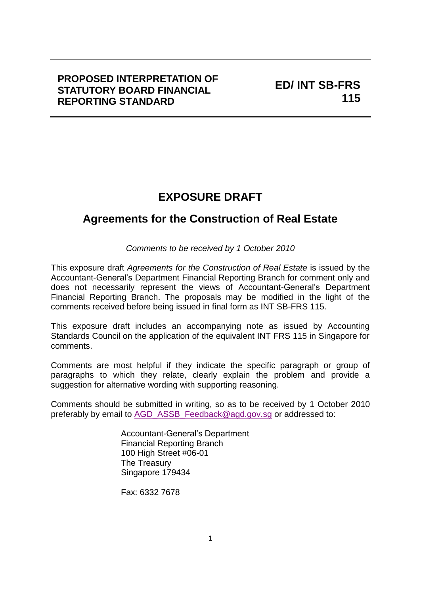## **PROPOSED INTERPRETATION OF STATUTORY BOARD FINANCIAL REPORTING STANDARD**

## **EXPOSURE DRAFT**

# **Agreements for the Construction of Real Estate**

*Comments to be received by 1 October 2010*

This exposure draft *Agreements for the Construction of Real Estate* is issued by the Accountant-General's Department Financial Reporting Branch for comment only and does not necessarily represent the views of Accountant-General's Department Financial Reporting Branch. The proposals may be modified in the light of the comments received before being issued in final form as INT SB-FRS 115.

This exposure draft includes an accompanying note as issued by Accounting Standards Council on the application of the equivalent INT FRS 115 in Singapore for comments.

Comments are most helpful if they indicate the specific paragraph or group of paragraphs to which they relate, clearly explain the problem and provide a suggestion for alternative wording with supporting reasoning.

Comments should be submitted in writing, so as to be received by 1 October 2010 preferably by email to [AGD\\_ASSB\\_Feedback@agd.gov.sg](mailto:AGD_ASSB_Feedback@agd.gov.sg) or addressed to:

> Accountant-General's Department Financial Reporting Branch 100 High Street #06-01 The Treasury Singapore 179434

Fax: 6332 7678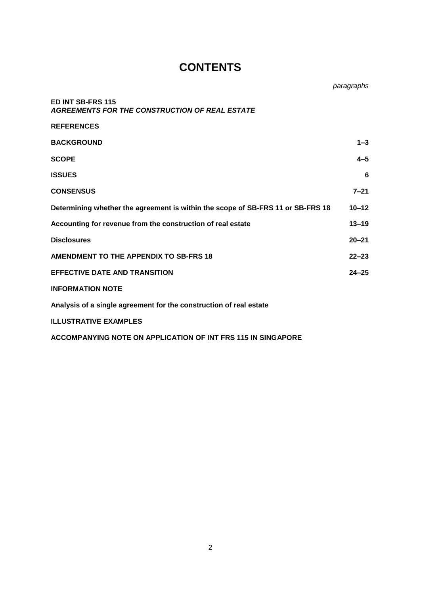# **CONTENTS**

*paragraphs*

| <b>ED INT SB-FRS 115</b><br><b>AGREEMENTS FOR THE CONSTRUCTION OF REAL ESTATE</b> |           |
|-----------------------------------------------------------------------------------|-----------|
| <b>REFERENCES</b>                                                                 |           |
| <b>BACKGROUND</b>                                                                 | $1 - 3$   |
| <b>SCOPE</b>                                                                      | $4 - 5$   |
| <b>ISSUES</b>                                                                     | 6         |
| <b>CONSENSUS</b>                                                                  | $7 - 21$  |
| Determining whether the agreement is within the scope of SB-FRS 11 or SB-FRS 18   | $10 - 12$ |
| Accounting for revenue from the construction of real estate                       | $13 - 19$ |
| <b>Disclosures</b>                                                                | $20 - 21$ |
| AMENDMENT TO THE APPENDIX TO SB-FRS 18                                            | $22 - 23$ |
| <b>EFFECTIVE DATE AND TRANSITION</b>                                              | $24 - 25$ |
| <b>INFORMATION NOTE</b>                                                           |           |
| Analysis of a single agreement for the construction of real estate                |           |
| <b>ILLUSTRATIVE EXAMPLES</b>                                                      |           |

**ACCOMPANYING NOTE ON APPLICATION OF INT FRS 115 IN SINGAPORE**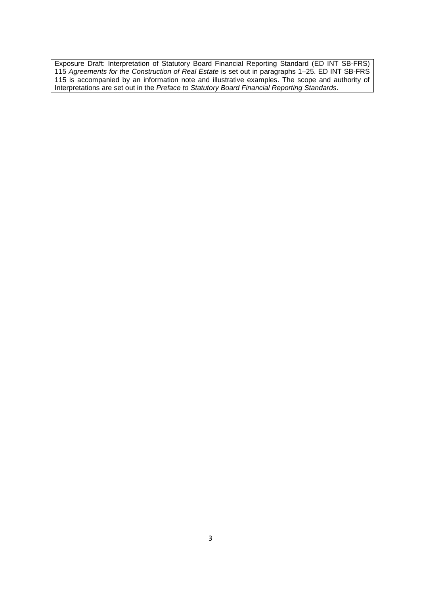Exposure Draft: Interpretation of Statutory Board Financial Reporting Standard (ED INT SB-FRS) 115 *Agreements for the Construction of Real Estate* is set out in paragraphs 1–25. ED INT SB-FRS 115 is accompanied by an information note and illustrative examples. The scope and authority of Interpretations are set out in the *Preface to Statutory Board Financial Reporting Standards*.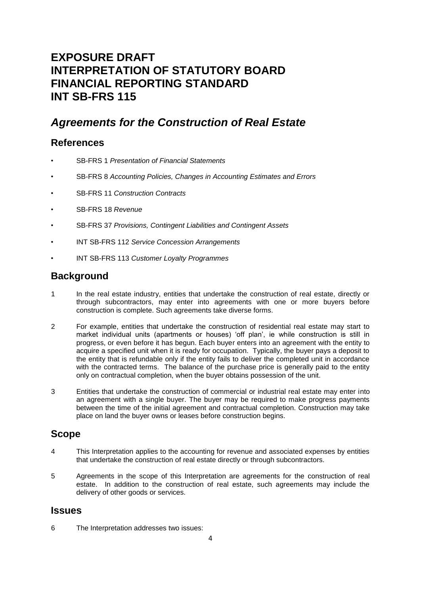# **EXPOSURE DRAFT INTERPRETATION OF STATUTORY BOARD FINANCIAL REPORTING STANDARD INT SB-FRS 115**

## *Agreements for the Construction of Real Estate*

## **References**

- SB-FRS 1 *Presentation of Financial Statements*
- SB-FRS 8 *Accounting Policies, Changes in Accounting Estimates and Errors*
- SB-FRS 11 *Construction Contracts*
- SB-FRS 18 *Revenue*
- SB-FRS 37 *Provisions, Contingent Liabilities and Contingent Assets*
- INT SB-FRS 112 *Service Concession Arrangements*
- INT SB-FRS 113 *Customer Loyalty Programmes*

## **Background**

- 1 In the real estate industry, entities that undertake the construction of real estate, directly or through subcontractors, may enter into agreements with one or more buyers before construction is complete. Such agreements take diverse forms.
- 2 For example, entities that undertake the construction of residential real estate may start to market individual units (apartments or houses) 'off plan', ie while construction is still in progress, or even before it has begun. Each buyer enters into an agreement with the entity to acquire a specified unit when it is ready for occupation. Typically, the buyer pays a deposit to the entity that is refundable only if the entity fails to deliver the completed unit in accordance with the contracted terms. The balance of the purchase price is generally paid to the entity only on contractual completion, when the buyer obtains possession of the unit.
- 3 Entities that undertake the construction of commercial or industrial real estate may enter into an agreement with a single buyer. The buyer may be required to make progress payments between the time of the initial agreement and contractual completion. Construction may take place on land the buyer owns or leases before construction begins.

## **Scope**

- 4 This Interpretation applies to the accounting for revenue and associated expenses by entities that undertake the construction of real estate directly or through subcontractors.
- 5 Agreements in the scope of this Interpretation are agreements for the construction of real estate. In addition to the construction of real estate, such agreements may include the delivery of other goods or services.

#### **Issues**

6 The Interpretation addresses two issues: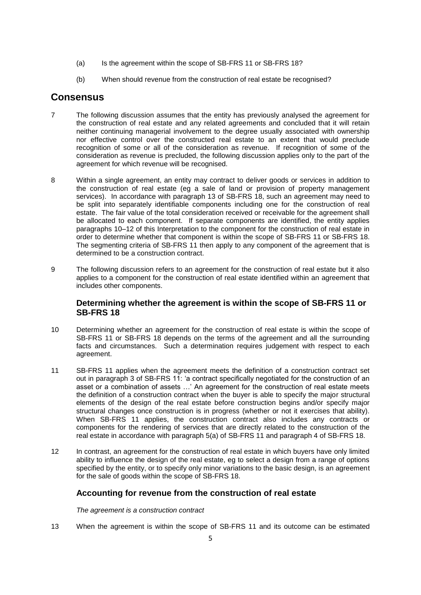- (a) Is the agreement within the scope of SB-FRS 11 or SB-FRS 18?
- (b) When should revenue from the construction of real estate be recognised?

## **Consensus**

- 7 The following discussion assumes that the entity has previously analysed the agreement for the construction of real estate and any related agreements and concluded that it will retain neither continuing managerial involvement to the degree usually associated with ownership nor effective control over the constructed real estate to an extent that would preclude recognition of some or all of the consideration as revenue. If recognition of some of the consideration as revenue is precluded, the following discussion applies only to the part of the agreement for which revenue will be recognised.
- 8 Within a single agreement, an entity may contract to deliver goods or services in addition to the construction of real estate (eg a sale of land or provision of property management services). In accordance with paragraph 13 of SB-FRS 18, such an agreement may need to be split into separately identifiable components including one for the construction of real estate. The fair value of the total consideration received or receivable for the agreement shall be allocated to each component. If separate components are identified, the entity applies paragraphs 10–12 of this Interpretation to the component for the construction of real estate in order to determine whether that component is within the scope of SB-FRS 11 or SB-FRS 18. The segmenting criteria of SB-FRS 11 then apply to any component of the agreement that is determined to be a construction contract.
- 9 The following discussion refers to an agreement for the construction of real estate but it also applies to a component for the construction of real estate identified within an agreement that includes other components.

#### **Determining whether the agreement is within the scope of SB-FRS 11 or SB-FRS 18**

- 10 Determining whether an agreement for the construction of real estate is within the scope of SB-FRS 11 or SB-FRS 18 depends on the terms of the agreement and all the surrounding facts and circumstances. Such a determination requires judgement with respect to each agreement.
- 11 SB-FRS 11 applies when the agreement meets the definition of a construction contract set out in paragraph 3 of SB-FRS 11: 'a contract specifically negotiated for the construction of an asset or a combination of assets …' An agreement for the construction of real estate meets the definition of a construction contract when the buyer is able to specify the major structural elements of the design of the real estate before construction begins and/or specify major structural changes once construction is in progress (whether or not it exercises that ability). When SB-FRS 11 applies, the construction contract also includes any contracts or components for the rendering of services that are directly related to the construction of the real estate in accordance with paragraph 5(a) of SB-FRS 11 and paragraph 4 of SB-FRS 18.
- 12 In contrast, an agreement for the construction of real estate in which buyers have only limited ability to influence the design of the real estate, eg to select a design from a range of options specified by the entity, or to specify only minor variations to the basic design, is an agreement for the sale of goods within the scope of SB-FRS 18.

#### **Accounting for revenue from the construction of real estate**

*The agreement is a construction contract* 

13 When the agreement is within the scope of SB-FRS 11 and its outcome can be estimated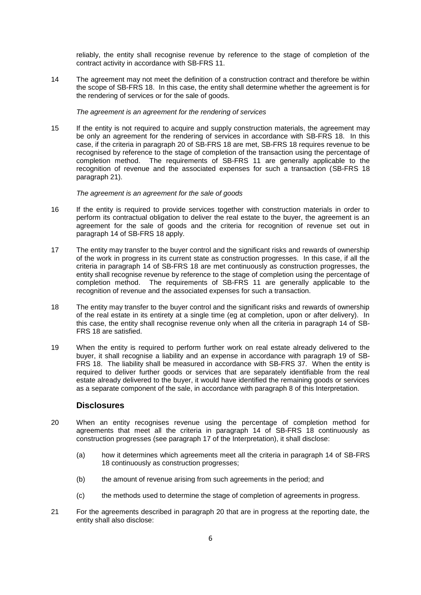reliably, the entity shall recognise revenue by reference to the stage of completion of the contract activity in accordance with SB-FRS 11.

14 The agreement may not meet the definition of a construction contract and therefore be within the scope of SB-FRS 18. In this case, the entity shall determine whether the agreement is for the rendering of services or for the sale of goods.

#### *The agreement is an agreement for the rendering of services*

15 If the entity is not required to acquire and supply construction materials, the agreement may be only an agreement for the rendering of services in accordance with SB-FRS 18. In this case, if the criteria in paragraph 20 of SB-FRS 18 are met, SB-FRS 18 requires revenue to be recognised by reference to the stage of completion of the transaction using the percentage of completion method. The requirements of SB-FRS 11 are generally applicable to the recognition of revenue and the associated expenses for such a transaction (SB-FRS 18 paragraph 21).

#### *The agreement is an agreement for the sale of goods*

- 16 If the entity is required to provide services together with construction materials in order to perform its contractual obligation to deliver the real estate to the buyer, the agreement is an agreement for the sale of goods and the criteria for recognition of revenue set out in paragraph 14 of SB-FRS 18 apply.
- 17 The entity may transfer to the buyer control and the significant risks and rewards of ownership of the work in progress in its current state as construction progresses. In this case, if all the criteria in paragraph 14 of SB-FRS 18 are met continuously as construction progresses, the entity shall recognise revenue by reference to the stage of completion using the percentage of completion method. The requirements of SB-FRS 11 are generally applicable to the recognition of revenue and the associated expenses for such a transaction.
- 18 The entity may transfer to the buyer control and the significant risks and rewards of ownership of the real estate in its entirety at a single time (eg at completion, upon or after delivery). In this case, the entity shall recognise revenue only when all the criteria in paragraph 14 of SB-FRS 18 are satisfied.
- 19 When the entity is required to perform further work on real estate already delivered to the buyer, it shall recognise a liability and an expense in accordance with paragraph 19 of SB-FRS 18. The liability shall be measured in accordance with SB-FRS 37. When the entity is required to deliver further goods or services that are separately identifiable from the real estate already delivered to the buyer, it would have identified the remaining goods or services as a separate component of the sale, in accordance with paragraph 8 of this Interpretation.

#### **Disclosures**

- 20 When an entity recognises revenue using the percentage of completion method for agreements that meet all the criteria in paragraph 14 of SB-FRS 18 continuously as construction progresses (see paragraph 17 of the Interpretation), it shall disclose:
	- (a) how it determines which agreements meet all the criteria in paragraph 14 of SB-FRS 18 continuously as construction progresses;
	- (b) the amount of revenue arising from such agreements in the period; and
	- (c) the methods used to determine the stage of completion of agreements in progress.
- 21 For the agreements described in paragraph 20 that are in progress at the reporting date, the entity shall also disclose: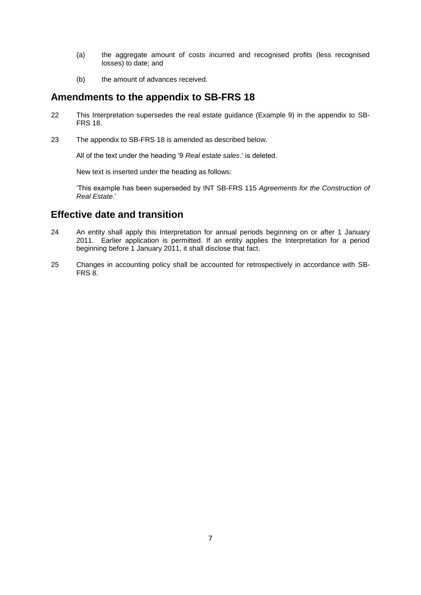- (a) the aggregate amount of costs incurred and recognised profits (less recognised losses) to date; and
- (b) the amount of advances received.

### **Amendments to the appendix to SB-FRS 18**

- 22 This Interpretation supersedes the real estate guidance (Example 9) in the appendix to SB-FRS 18.
- 23 The appendix to SB-FRS 18 is amended as described below.

All of the text under the heading '9 *Real estate sales*.' is deleted.

New text is inserted under the heading as follows:

'This example has been superseded by INT SB-FRS 115 *Agreements for the Construction of Real Estate*.'

#### **Effective date and transition**

- 24 An entity shall apply this Interpretation for annual periods beginning on or after 1 January 2011. Earlier application is permitted. If an entity applies the Interpretation for a period beginning before 1 January 2011, it shall disclose that fact.
- 25 Changes in accounting policy shall be accounted for retrospectively in accordance with SB-FRS 8.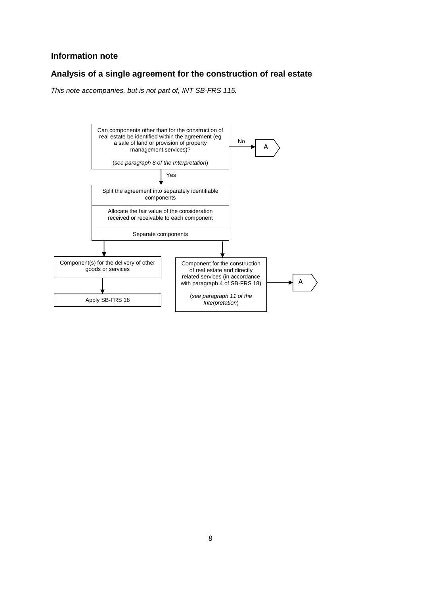#### **Information note**

#### **Analysis of a single agreement for the construction of real estate**

*This note accompanies, but is not part of, INT SB-FRS 115.* 

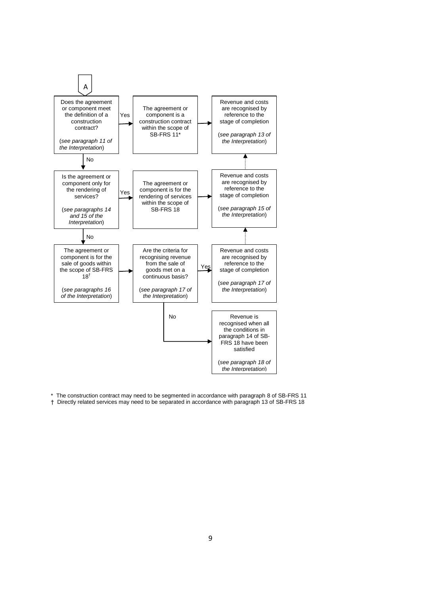

- \* The construction contract may need to be segmented in accordance with paragraph 8 of SB-FRS 11
- † Directly related services may need to be separated in accordance with paragraph 13 of SB-FRS 18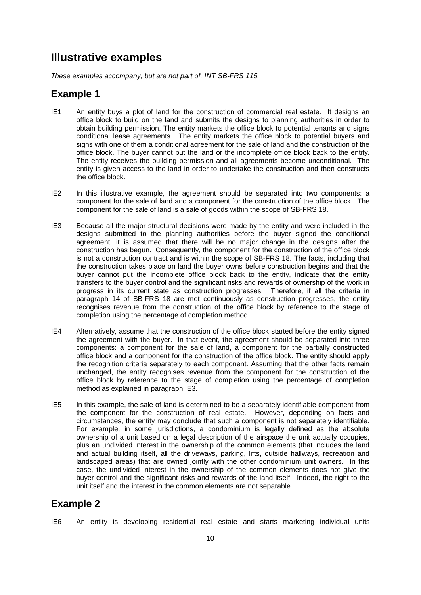## **Illustrative examples**

*These examples accompany, but are not part of, INT SB-FRS 115.* 

## **Example 1**

- IE1 An entity buys a plot of land for the construction of commercial real estate. It designs an office block to build on the land and submits the designs to planning authorities in order to obtain building permission. The entity markets the office block to potential tenants and signs conditional lease agreements. The entity markets the office block to potential buyers and signs with one of them a conditional agreement for the sale of land and the construction of the office block. The buyer cannot put the land or the incomplete office block back to the entity. The entity receives the building permission and all agreements become unconditional. The entity is given access to the land in order to undertake the construction and then constructs the office block.
- IE2 In this illustrative example, the agreement should be separated into two components: a component for the sale of land and a component for the construction of the office block. The component for the sale of land is a sale of goods within the scope of SB-FRS 18.
- IE3 Because all the major structural decisions were made by the entity and were included in the designs submitted to the planning authorities before the buyer signed the conditional agreement, it is assumed that there will be no major change in the designs after the construction has begun. Consequently, the component for the construction of the office block is not a construction contract and is within the scope of SB-FRS 18. The facts, including that the construction takes place on land the buyer owns before construction begins and that the buyer cannot put the incomplete office block back to the entity, indicate that the entity transfers to the buyer control and the significant risks and rewards of ownership of the work in progress in its current state as construction progresses. Therefore, if all the criteria in paragraph 14 of SB-FRS 18 are met continuously as construction progresses, the entity recognises revenue from the construction of the office block by reference to the stage of completion using the percentage of completion method.
- IE4 Alternatively, assume that the construction of the office block started before the entity signed the agreement with the buyer. In that event, the agreement should be separated into three components: a component for the sale of land, a component for the partially constructed office block and a component for the construction of the office block. The entity should apply the recognition criteria separately to each component. Assuming that the other facts remain unchanged, the entity recognises revenue from the component for the construction of the office block by reference to the stage of completion using the percentage of completion method as explained in paragraph IE3.
- IE5 In this example, the sale of land is determined to be a separately identifiable component from the component for the construction of real estate. However, depending on facts and circumstances, the entity may conclude that such a component is not separately identifiable. For example, in some jurisdictions, a condominium is legally defined as the absolute ownership of a unit based on a legal description of the airspace the unit actually occupies, plus an undivided interest in the ownership of the common elements (that includes the land and actual building itself, all the driveways, parking, lifts, outside hallways, recreation and landscaped areas) that are owned jointly with the other condominium unit owners. In this case, the undivided interest in the ownership of the common elements does not give the buyer control and the significant risks and rewards of the land itself. Indeed, the right to the unit itself and the interest in the common elements are not separable.

## **Example 2**

IE6 An entity is developing residential real estate and starts marketing individual units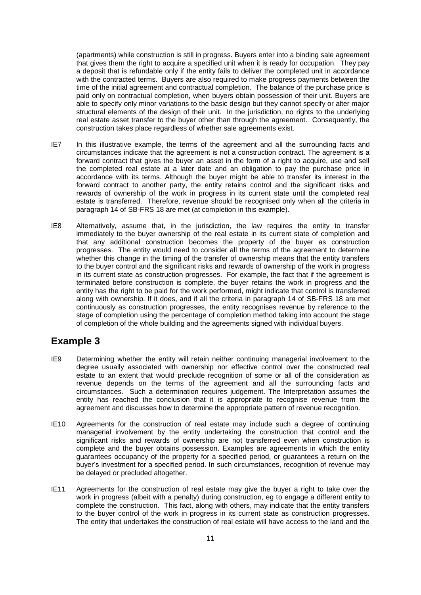(apartments) while construction is still in progress. Buyers enter into a binding sale agreement that gives them the right to acquire a specified unit when it is ready for occupation. They pay a deposit that is refundable only if the entity fails to deliver the completed unit in accordance with the contracted terms. Buyers are also required to make progress payments between the time of the initial agreement and contractual completion. The balance of the purchase price is paid only on contractual completion, when buyers obtain possession of their unit. Buyers are able to specify only minor variations to the basic design but they cannot specify or alter major structural elements of the design of their unit. In the jurisdiction, no rights to the underlying real estate asset transfer to the buyer other than through the agreement. Consequently, the construction takes place regardless of whether sale agreements exist.

- IE7 In this illustrative example, the terms of the agreement and all the surrounding facts and circumstances indicate that the agreement is not a construction contract. The agreement is a forward contract that gives the buyer an asset in the form of a right to acquire, use and sell the completed real estate at a later date and an obligation to pay the purchase price in accordance with its terms. Although the buyer might be able to transfer its interest in the forward contract to another party, the entity retains control and the significant risks and rewards of ownership of the work in progress in its current state until the completed real estate is transferred. Therefore, revenue should be recognised only when all the criteria in paragraph 14 of SB-FRS 18 are met (at completion in this example).
- IE8 Alternatively, assume that, in the jurisdiction, the law requires the entity to transfer immediately to the buyer ownership of the real estate in its current state of completion and that any additional construction becomes the property of the buyer as construction progresses. The entity would need to consider all the terms of the agreement to determine whether this change in the timing of the transfer of ownership means that the entity transfers to the buyer control and the significant risks and rewards of ownership of the work in progress in its current state as construction progresses. For example, the fact that if the agreement is terminated before construction is complete, the buyer retains the work in progress and the entity has the right to be paid for the work performed, might indicate that control is transferred along with ownership. If it does, and if all the criteria in paragraph 14 of SB-FRS 18 are met continuously as construction progresses, the entity recognises revenue by reference to the stage of completion using the percentage of completion method taking into account the stage of completion of the whole building and the agreements signed with individual buyers.

### **Example 3**

- IE9 Determining whether the entity will retain neither continuing managerial involvement to the degree usually associated with ownership nor effective control over the constructed real estate to an extent that would preclude recognition of some or all of the consideration as revenue depends on the terms of the agreement and all the surrounding facts and circumstances. Such a determination requires judgement. The Interpretation assumes the entity has reached the conclusion that it is appropriate to recognise revenue from the agreement and discusses how to determine the appropriate pattern of revenue recognition.
- IE10 Agreements for the construction of real estate may include such a degree of continuing managerial involvement by the entity undertaking the construction that control and the significant risks and rewards of ownership are not transferred even when construction is complete and the buyer obtains possession. Examples are agreements in which the entity guarantees occupancy of the property for a specified period, or guarantees a return on the buyer's investment for a specified period. In such circumstances, recognition of revenue may be delayed or precluded altogether.
- IE11 Agreements for the construction of real estate may give the buyer a right to take over the work in progress (albeit with a penalty) during construction, eg to engage a different entity to complete the construction. This fact, along with others, may indicate that the entity transfers to the buyer control of the work in progress in its current state as construction progresses. The entity that undertakes the construction of real estate will have access to the land and the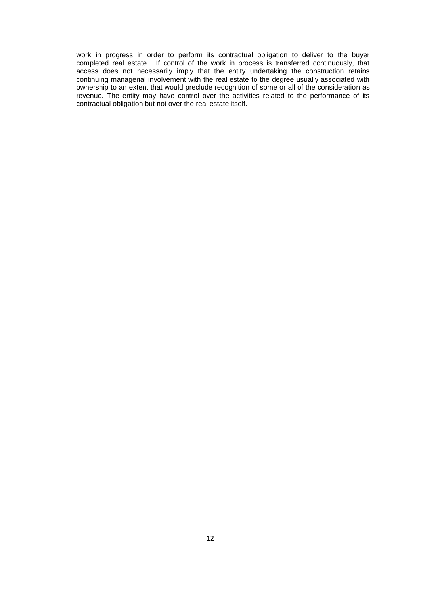work in progress in order to perform its contractual obligation to deliver to the buyer completed real estate. If control of the work in process is transferred continuously, that access does not necessarily imply that the entity undertaking the construction retains continuing managerial involvement with the real estate to the degree usually associated with ownership to an extent that would preclude recognition of some or all of the consideration as revenue. The entity may have control over the activities related to the performance of its contractual obligation but not over the real estate itself.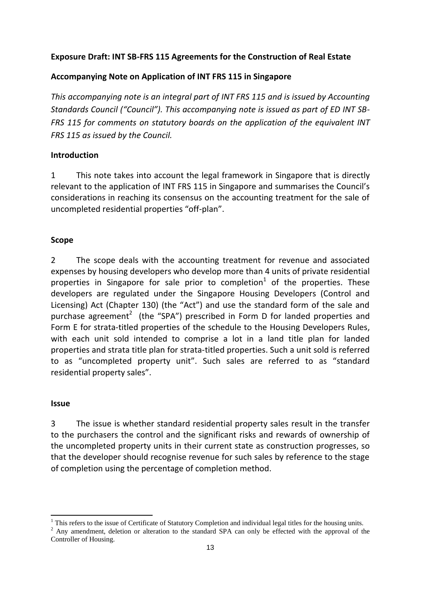### **Exposure Draft: INT SB-FRS 115 Agreements for the Construction of Real Estate**

### **Accompanying Note on Application of INT FRS 115 in Singapore**

*This accompanying note is an integral part of INT FRS 115 and is issued by Accounting Standards Council ("Council"). This accompanying note is issued as part of ED INT SB-FRS 115 for comments on statutory boards on the application of the equivalent INT FRS 115 as issued by the Council.*

#### **Introduction**

1 This note takes into account the legal framework in Singapore that is directly relevant to the application of INT FRS 115 in Singapore and summarises the Council's considerations in reaching its consensus on the accounting treatment for the sale of uncompleted residential properties "off-plan".

#### **Scope**

2 The scope deals with the accounting treatment for revenue and associated expenses by housing developers who develop more than 4 units of private residential properties in Singapore for sale prior to completion<sup>1</sup> of the properties. These developers are regulated under the Singapore Housing Developers (Control and Licensing) Act (Chapter 130) (the "Act") and use the standard form of the sale and purchase agreement<sup>2</sup> (the "SPA") prescribed in Form D for landed properties and Form E for strata-titled properties of the schedule to the Housing Developers Rules, with each unit sold intended to comprise a lot in a land title plan for landed properties and strata title plan for strata-titled properties. Such a unit sold is referred to as "uncompleted property unit". Such sales are referred to as "standard residential property sales".

#### **Issue**

1

3 The issue is whether standard residential property sales result in the transfer to the purchasers the control and the significant risks and rewards of ownership of the uncompleted property units in their current state as construction progresses, so that the developer should recognise revenue for such sales by reference to the stage of completion using the percentage of completion method.

 $<sup>1</sup>$  This refers to the issue of Certificate of Statutory Completion and individual legal titles for the housing units.</sup> <sup>2</sup> Any amendment, deletion or alteration to the standard SPA can only be effected with the approval of the Controller of Housing.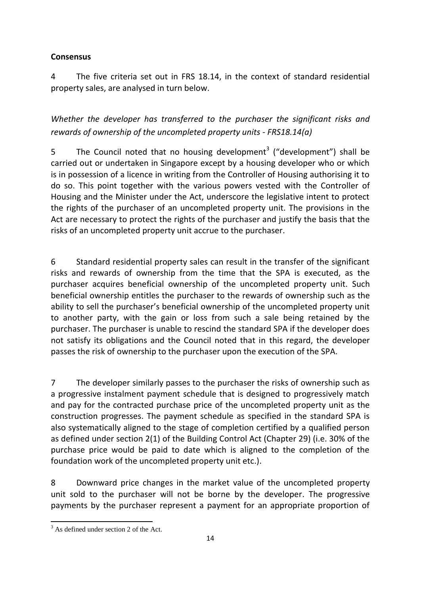## **Consensus**

4 The five criteria set out in FRS 18.14, in the context of standard residential property sales, are analysed in turn below.

*Whether the developer has transferred to the purchaser the significant risks and rewards of ownership of the uncompleted property units - FRS18.14(a)*

5 The Council noted that no housing development<sup>3</sup> ("development") shall be carried out or undertaken in Singapore except by a housing developer who or which is in possession of a licence in writing from the Controller of Housing authorising it to do so. This point together with the various powers vested with the Controller of Housing and the Minister under the Act, underscore the legislative intent to protect the rights of the purchaser of an uncompleted property unit. The provisions in the Act are necessary to protect the rights of the purchaser and justify the basis that the risks of an uncompleted property unit accrue to the purchaser.

6 Standard residential property sales can result in the transfer of the significant risks and rewards of ownership from the time that the SPA is executed, as the purchaser acquires beneficial ownership of the uncompleted property unit. Such beneficial ownership entitles the purchaser to the rewards of ownership such as the ability to sell the purchaser's beneficial ownership of the uncompleted property unit to another party, with the gain or loss from such a sale being retained by the purchaser. The purchaser is unable to rescind the standard SPA if the developer does not satisfy its obligations and the Council noted that in this regard, the developer passes the risk of ownership to the purchaser upon the execution of the SPA.

7 The developer similarly passes to the purchaser the risks of ownership such as a progressive instalment payment schedule that is designed to progressively match and pay for the contracted purchase price of the uncompleted property unit as the construction progresses. The payment schedule as specified in the standard SPA is also systematically aligned to the stage of completion certified by a qualified person as defined under section 2(1) of the Building Control Act (Chapter 29) (i.e. 30% of the purchase price would be paid to date which is aligned to the completion of the foundation work of the uncompleted property unit etc.).

8 Downward price changes in the market value of the uncompleted property unit sold to the purchaser will not be borne by the developer. The progressive payments by the purchaser represent a payment for an appropriate proportion of

**.** 

 $3$  As defined under section 2 of the Act.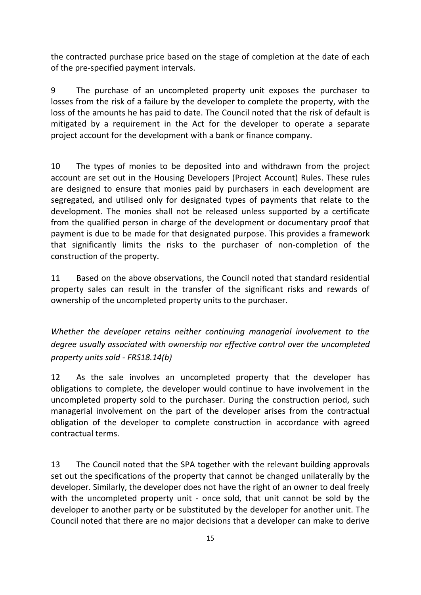the contracted purchase price based on the stage of completion at the date of each of the pre-specified payment intervals.

9 The purchase of an uncompleted property unit exposes the purchaser to losses from the risk of a failure by the developer to complete the property, with the loss of the amounts he has paid to date. The Council noted that the risk of default is mitigated by a requirement in the Act for the developer to operate a separate project account for the development with a bank or finance company.

10 The types of monies to be deposited into and withdrawn from the project account are set out in the Housing Developers (Project Account) Rules. These rules are designed to ensure that monies paid by purchasers in each development are segregated, and utilised only for designated types of payments that relate to the development. The monies shall not be released unless supported by a certificate from the qualified person in charge of the development or documentary proof that payment is due to be made for that designated purpose. This provides a framework that significantly limits the risks to the purchaser of non-completion of the construction of the property.

11 Based on the above observations, the Council noted that standard residential property sales can result in the transfer of the significant risks and rewards of ownership of the uncompleted property units to the purchaser.

*Whether the developer retains neither continuing managerial involvement to the degree usually associated with ownership nor effective control over the uncompleted property units sold - FRS18.14(b)*

12 As the sale involves an uncompleted property that the developer has obligations to complete, the developer would continue to have involvement in the uncompleted property sold to the purchaser. During the construction period, such managerial involvement on the part of the developer arises from the contractual obligation of the developer to complete construction in accordance with agreed contractual terms.

13 The Council noted that the SPA together with the relevant building approvals set out the specifications of the property that cannot be changed unilaterally by the developer. Similarly, the developer does not have the right of an owner to deal freely with the uncompleted property unit - once sold, that unit cannot be sold by the developer to another party or be substituted by the developer for another unit. The Council noted that there are no major decisions that a developer can make to derive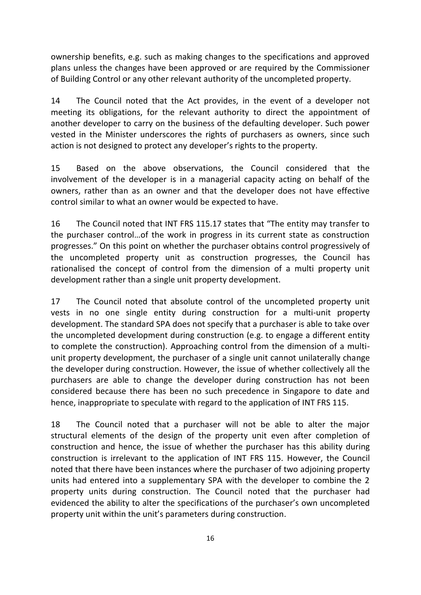ownership benefits, e.g. such as making changes to the specifications and approved plans unless the changes have been approved or are required by the Commissioner of Building Control or any other relevant authority of the uncompleted property.

14 The Council noted that the Act provides, in the event of a developer not meeting its obligations, for the relevant authority to direct the appointment of another developer to carry on the business of the defaulting developer. Such power vested in the Minister underscores the rights of purchasers as owners, since such action is not designed to protect any developer's rights to the property.

15 Based on the above observations, the Council considered that the involvement of the developer is in a managerial capacity acting on behalf of the owners, rather than as an owner and that the developer does not have effective control similar to what an owner would be expected to have.

16 The Council noted that INT FRS 115.17 states that "The entity may transfer to the purchaser control…of the work in progress in its current state as construction progresses." On this point on whether the purchaser obtains control progressively of the uncompleted property unit as construction progresses, the Council has rationalised the concept of control from the dimension of a multi property unit development rather than a single unit property development.

17 The Council noted that absolute control of the uncompleted property unit vests in no one single entity during construction for a multi-unit property development. The standard SPA does not specify that a purchaser is able to take over the uncompleted development during construction (e.g. to engage a different entity to complete the construction). Approaching control from the dimension of a multiunit property development, the purchaser of a single unit cannot unilaterally change the developer during construction. However, the issue of whether collectively all the purchasers are able to change the developer during construction has not been considered because there has been no such precedence in Singapore to date and hence, inappropriate to speculate with regard to the application of INT FRS 115.

18 The Council noted that a purchaser will not be able to alter the major structural elements of the design of the property unit even after completion of construction and hence, the issue of whether the purchaser has this ability during construction is irrelevant to the application of INT FRS 115. However, the Council noted that there have been instances where the purchaser of two adjoining property units had entered into a supplementary SPA with the developer to combine the 2 property units during construction. The Council noted that the purchaser had evidenced the ability to alter the specifications of the purchaser's own uncompleted property unit within the unit's parameters during construction.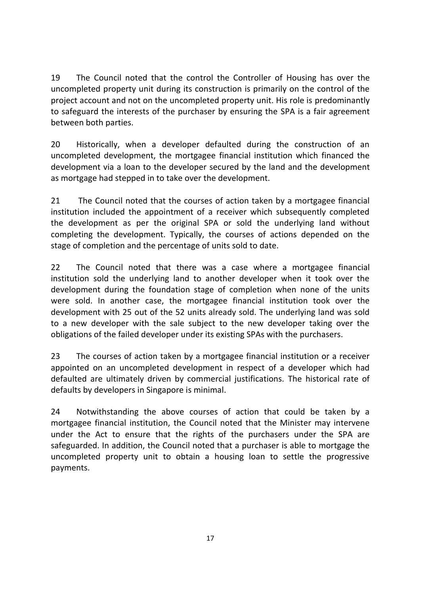19 The Council noted that the control the Controller of Housing has over the uncompleted property unit during its construction is primarily on the control of the project account and not on the uncompleted property unit. His role is predominantly to safeguard the interests of the purchaser by ensuring the SPA is a fair agreement between both parties.

20 Historically, when a developer defaulted during the construction of an uncompleted development, the mortgagee financial institution which financed the development via a loan to the developer secured by the land and the development as mortgage had stepped in to take over the development.

21 The Council noted that the courses of action taken by a mortgagee financial institution included the appointment of a receiver which subsequently completed the development as per the original SPA or sold the underlying land without completing the development. Typically, the courses of actions depended on the stage of completion and the percentage of units sold to date.

22 The Council noted that there was a case where a mortgagee financial institution sold the underlying land to another developer when it took over the development during the foundation stage of completion when none of the units were sold. In another case, the mortgagee financial institution took over the development with 25 out of the 52 units already sold. The underlying land was sold to a new developer with the sale subject to the new developer taking over the obligations of the failed developer under its existing SPAs with the purchasers.

23 The courses of action taken by a mortgagee financial institution or a receiver appointed on an uncompleted development in respect of a developer which had defaulted are ultimately driven by commercial justifications. The historical rate of defaults by developers in Singapore is minimal.

24 Notwithstanding the above courses of action that could be taken by a mortgagee financial institution, the Council noted that the Minister may intervene under the Act to ensure that the rights of the purchasers under the SPA are safeguarded. In addition, the Council noted that a purchaser is able to mortgage the uncompleted property unit to obtain a housing loan to settle the progressive payments.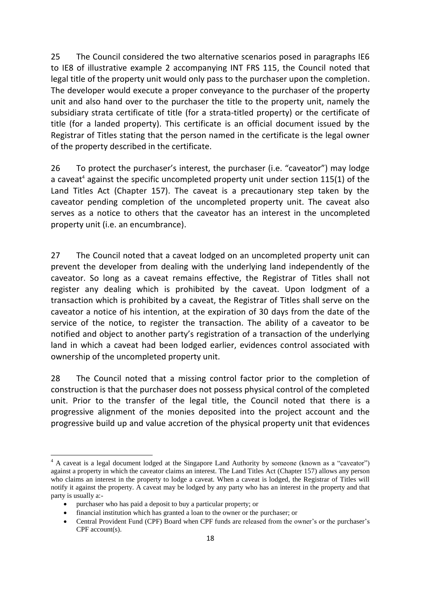25 The Council considered the two alternative scenarios posed in paragraphs IE6 to IE8 of illustrative example 2 accompanying INT FRS 115, the Council noted that legal title of the property unit would only pass to the purchaser upon the completion. The developer would execute a proper conveyance to the purchaser of the property unit and also hand over to the purchaser the title to the property unit, namely the subsidiary strata certificate of title (for a strata-titled property) or the certificate of title (for a landed property). This certificate is an official document issued by the Registrar of Titles stating that the person named in the certificate is the legal owner of the property described in the certificate.

26 To protect the purchaser's interest, the purchaser (i.e. "caveator") may lodge a caveat<sup>4</sup> against the specific uncompleted property unit under section 115(1) of the Land Titles Act (Chapter 157). The caveat is a precautionary step taken by the caveator pending completion of the uncompleted property unit. The caveat also serves as a notice to others that the caveator has an interest in the uncompleted property unit (i.e. an encumbrance).

27 The Council noted that a caveat lodged on an uncompleted property unit can prevent the developer from dealing with the underlying land independently of the caveator. So long as a caveat remains effective, the Registrar of Titles shall not register any dealing which is prohibited by the caveat. Upon lodgment of a transaction which is prohibited by a caveat, the Registrar of Titles shall serve on the caveator a notice of his intention, at the expiration of 30 days from the date of the service of the notice, to register the transaction. The ability of a caveator to be notified and object to another party's registration of a transaction of the underlying land in which a caveat had been lodged earlier, evidences control associated with ownership of the uncompleted property unit.

28 The Council noted that a missing control factor prior to the completion of construction is that the purchaser does not possess physical control of the completed unit. Prior to the transfer of the legal title, the Council noted that there is a progressive alignment of the monies deposited into the project account and the progressive build up and value accretion of the physical property unit that evidences

1

 $4$  A caveat is a legal document lodged at the Singapore Land Authority by someone (known as a "caveator") against a property in which the caveator claims an interest. The Land Titles Act (Chapter 157) allows any person who claims an interest in the property to lodge a caveat. When a caveat is lodged, the Registrar of Titles will notify it against the property. A caveat may be lodged by any party who has an interest in the property and that party is usually a:-

purchaser who has paid a deposit to buy a particular property; or

financial institution which has granted a loan to the owner or the purchaser; or

Central Provident Fund (CPF) Board when CPF funds are released from the owner's or the purchaser's CPF account(s).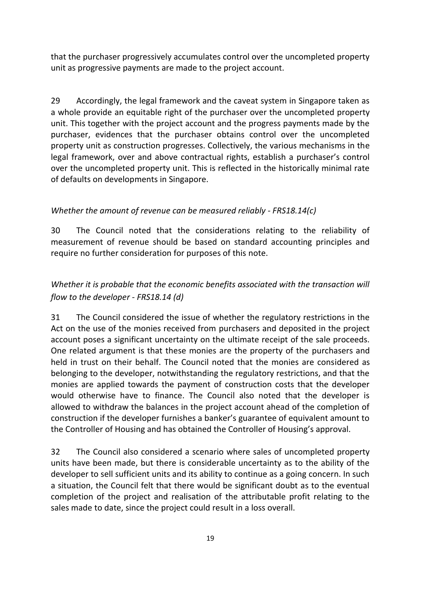that the purchaser progressively accumulates control over the uncompleted property unit as progressive payments are made to the project account.

29 Accordingly, the legal framework and the caveat system in Singapore taken as a whole provide an equitable right of the purchaser over the uncompleted property unit. This together with the project account and the progress payments made by the purchaser, evidences that the purchaser obtains control over the uncompleted property unit as construction progresses. Collectively, the various mechanisms in the legal framework, over and above contractual rights, establish a purchaser's control over the uncompleted property unit. This is reflected in the historically minimal rate of defaults on developments in Singapore.

### *Whether the amount of revenue can be measured reliably - FRS18.14(c)*

30 The Council noted that the considerations relating to the reliability of measurement of revenue should be based on standard accounting principles and require no further consideration for purposes of this note.

## *Whether it is probable that the economic benefits associated with the transaction will flow to the developer - FRS18.14 (d)*

31 The Council considered the issue of whether the regulatory restrictions in the Act on the use of the monies received from purchasers and deposited in the project account poses a significant uncertainty on the ultimate receipt of the sale proceeds. One related argument is that these monies are the property of the purchasers and held in trust on their behalf. The Council noted that the monies are considered as belonging to the developer, notwithstanding the regulatory restrictions, and that the monies are applied towards the payment of construction costs that the developer would otherwise have to finance. The Council also noted that the developer is allowed to withdraw the balances in the project account ahead of the completion of construction if the developer furnishes a banker's guarantee of equivalent amount to the Controller of Housing and has obtained the Controller of Housing's approval.

32 The Council also considered a scenario where sales of uncompleted property units have been made, but there is considerable uncertainty as to the ability of the developer to sell sufficient units and its ability to continue as a going concern. In such a situation, the Council felt that there would be significant doubt as to the eventual completion of the project and realisation of the attributable profit relating to the sales made to date, since the project could result in a loss overall.